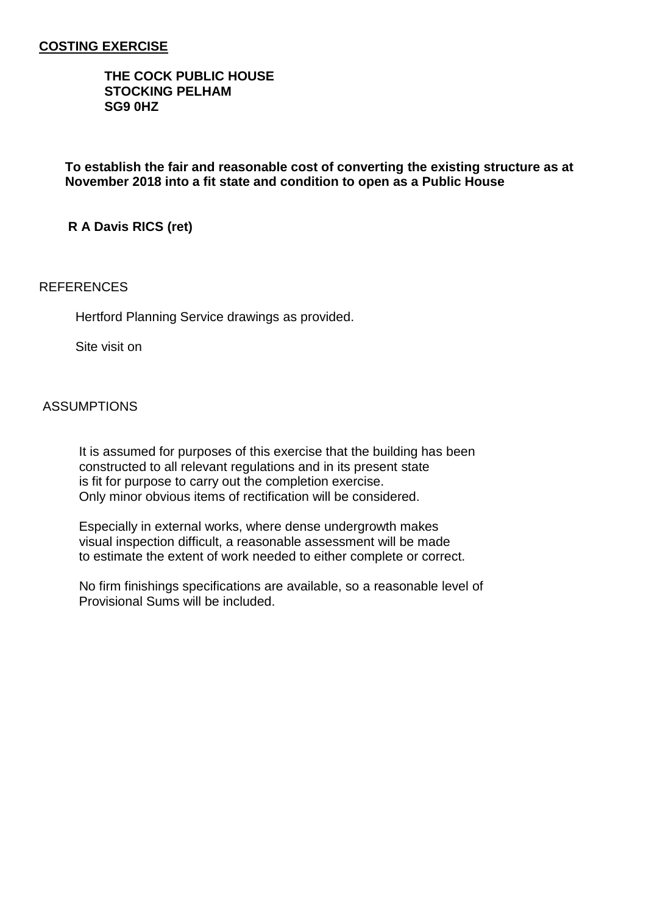## **COSTING EXERCISE**

### **THE COCK PUBLIC HOUSE STOCKING PELHAM SG9 0HZ**

**To establish the fair and reasonable cost of converting the existing structure as at November 2018 into a fit state and condition to open as a Public House**

 **R A Davis RICS (ret)**

### **REFERENCES**

Hertford Planning Service drawings as provided.

Site visit on

### ASSUMPTIONS

 It is assumed for purposes of this exercise that the building has been constructed to all relevant regulations and in its present state is fit for purpose to carry out the completion exercise. Only minor obvious items of rectification will be considered.

 Especially in external works, where dense undergrowth makes visual inspection difficult, a reasonable assessment will be made to estimate the extent of work needed to either complete or correct.

 No firm finishings specifications are available, so a reasonable level of Provisional Sums will be included.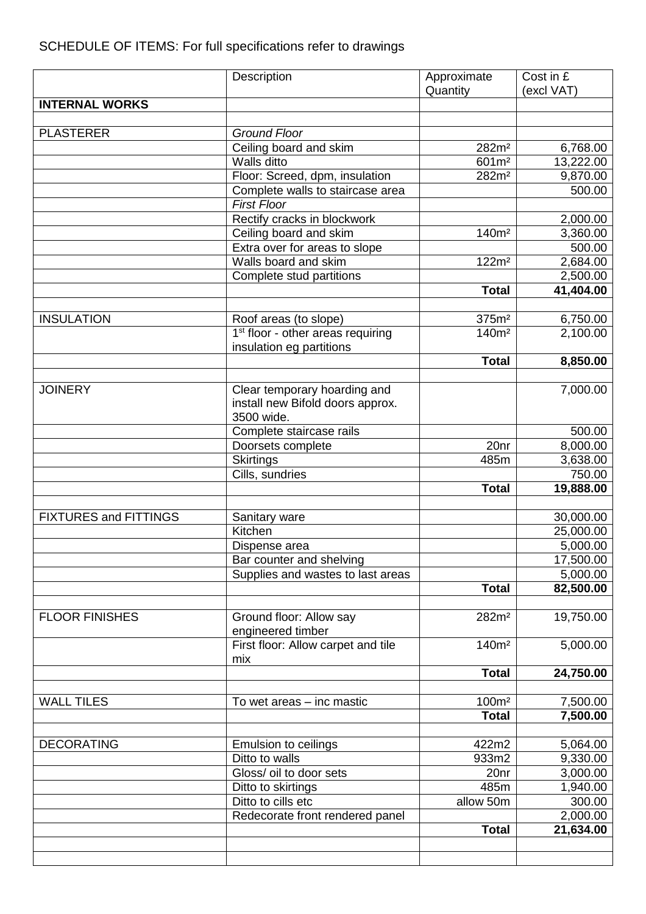# SCHEDULE OF ITEMS: For full specifications refer to drawings

|                              | Description                                   | Approximate                            | Cost in £             |
|------------------------------|-----------------------------------------------|----------------------------------------|-----------------------|
|                              |                                               | Quantity                               | (excl VAT)            |
| <b>INTERNAL WORKS</b>        |                                               |                                        |                       |
|                              |                                               |                                        |                       |
| <b>PLASTERER</b>             | <b>Ground Floor</b>                           |                                        |                       |
|                              | Ceiling board and skim<br>Walls ditto         | 282m <sup>2</sup>                      | 6,768.00              |
|                              | Floor: Screed, dpm, insulation                | 601m <sup>2</sup><br>282m <sup>2</sup> | 13,222.00<br>9,870.00 |
|                              | Complete walls to staircase area              |                                        | 500.00                |
|                              | <b>First Floor</b>                            |                                        |                       |
|                              | Rectify cracks in blockwork                   |                                        | 2,000.00              |
|                              | Ceiling board and skim                        | 140m <sup>2</sup>                      | 3,360.00              |
|                              | Extra over for areas to slope                 |                                        | 500.00                |
|                              | Walls board and skim                          | 122m <sup>2</sup>                      | 2,684.00              |
|                              | Complete stud partitions                      |                                        | 2,500.00              |
|                              |                                               | <b>Total</b>                           | 41,404.00             |
|                              |                                               |                                        |                       |
| <b>INSULATION</b>            | Roof areas (to slope)                         | 375m <sup>2</sup>                      | 6,750.00              |
|                              | 1 <sup>st</sup> floor - other areas requiring | 140m <sup>2</sup>                      | 2,100.00              |
|                              | insulation eg partitions                      |                                        |                       |
|                              |                                               | <b>Total</b>                           | 8,850.00              |
|                              |                                               |                                        |                       |
| <b>JOINERY</b>               | Clear temporary hoarding and                  |                                        | 7,000.00              |
|                              | install new Bifold doors approx.              |                                        |                       |
|                              | 3500 wide.                                    |                                        |                       |
|                              | Complete staircase rails                      | 20nr                                   | 500.00                |
|                              | Doorsets complete<br><b>Skirtings</b>         | 485m                                   | 8,000.00<br>3,638.00  |
|                              | Cills, sundries                               |                                        | 750.00                |
|                              |                                               | <b>Total</b>                           | 19,888.00             |
|                              |                                               |                                        |                       |
| <b>FIXTURES and FITTINGS</b> | Sanitary ware                                 |                                        | 30,000.00             |
|                              | Kitchen                                       |                                        | 25,000.00             |
|                              | Dispense area                                 |                                        | 5,000.00              |
|                              | Bar counter and shelving                      |                                        | 17,500.00             |
|                              | Supplies and wastes to last areas             |                                        | 5,000.00              |
|                              |                                               | <b>Total</b>                           | 82,500.00             |
|                              |                                               |                                        |                       |
| <b>FLOOR FINISHES</b>        | Ground floor: Allow say                       | 282m <sup>2</sup>                      | 19,750.00             |
|                              | engineered timber                             |                                        |                       |
|                              | First floor: Allow carpet and tile            | 140m <sup>2</sup>                      | 5,000.00              |
|                              | mix                                           |                                        |                       |
|                              |                                               | <b>Total</b>                           | 24,750.00             |
| <b>WALL TILES</b>            | To wet areas - inc mastic                     | 100m <sup>2</sup>                      | 7,500.00              |
|                              |                                               | <b>Total</b>                           | 7,500.00              |
|                              |                                               |                                        |                       |
| <b>DECORATING</b>            | <b>Emulsion to ceilings</b>                   | 422m2                                  | 5,064.00              |
|                              | Ditto to walls                                | 933m2                                  | 9,330.00              |
|                              | Gloss/ oil to door sets                       | 20 <sub>nr</sub>                       | 3,000.00              |
|                              | Ditto to skirtings                            | 485m                                   | 1,940.00              |
|                              | Ditto to cills etc                            | allow 50m                              | 300.00                |
|                              | Redecorate front rendered panel               |                                        | 2,000.00              |
|                              |                                               | <b>Total</b>                           | 21,634.00             |
|                              |                                               |                                        |                       |
|                              |                                               |                                        |                       |